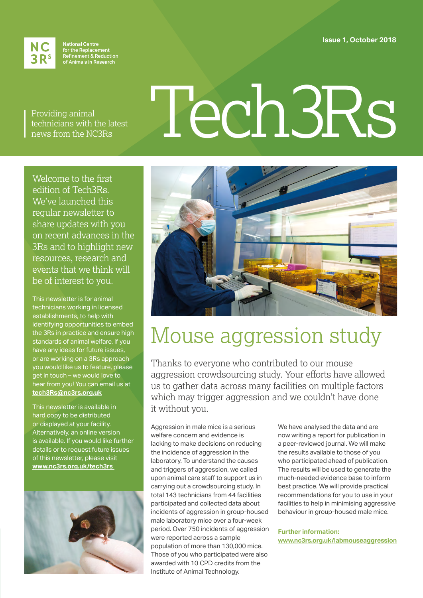**Issue 1, October 2018**



**National Centre** for the Replacement<br>Refinement & Reduction<br>of Animals in Research

Providing animal technicians with the latest news from the NC3Rs

# Tech3Rs

Welcome to the first edition of Tech3Rs. We've launched this regular newsletter to share updates with you on recent advances in the 3Rs and to highlight new resources, research and events that we think will be of interest to you.

This newsletter is for animal technicians working in licensed establishments, to help with identifying opportunities to embed the 3Rs in practice and ensure high standards of animal welfare. If you have any ideas for future issues, or are working on a 3Rs approach you would like us to feature, please get in touch – we would love to hear from you! You can email us at **[tech3Rs@nc3rs.org.uk](mailto:tech3Rs@nc3rs.org.uk)**

This newsletter is available in hard copy to be distributed or displayed at your facility. Alternatively, an online version is available. If you would like further details or to request future issues of this newsletter, please visit **[www.nc3rs.org.uk/tech3rs](http://www.nc3rs.org.uk/tech3rs)** 





# Mouse aggression study

Thanks to everyone who contributed to our mouse aggression crowdsourcing study. Your efforts have allowed us to gather data across many facilities on multiple factors which may trigger aggression and we couldn't have done it without you.

Aggression in male mice is a serious welfare concern and evidence is lacking to make decisions on reducing the incidence of aggression in the laboratory. To understand the causes and triggers of aggression, we called upon animal care staff to support us in carrying out a crowdsourcing study. In total 143 technicians from 44 facilities participated and collected data about incidents of aggression in group-housed male laboratory mice over a four-week period. Over 750 incidents of aggression were reported across a sample population of more than 130,000 mice. Those of you who participated were also awarded with 10 CPD credits from the Institute of Animal Technology.

We have analysed the data and are now writing a report for publication in a peer-reviewed journal. We will make the results available to those of you who participated ahead of publication. The results will be used to generate the much-needed evidence base to inform best practice. We will provide practical recommendations for you to use in your facilities to help in minimising aggressive behaviour in group-housed male mice.

**Further information: [www.nc3rs.org.uk/labmouseaggression](http://www.nc3rs.org.uk/labmouseaggression)**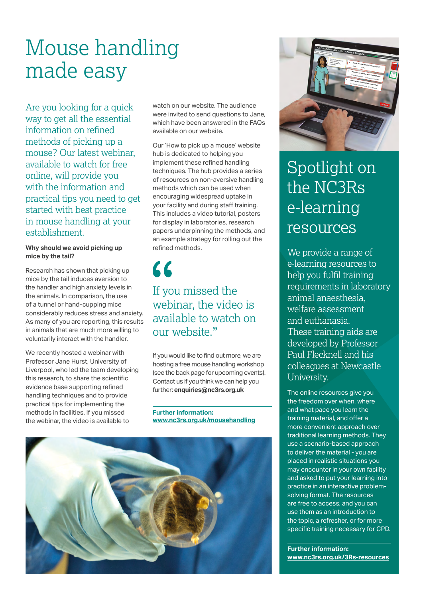# Mouse handling made easy

Are you looking for a quick way to get all the essential information on refined methods of picking up a mouse? Our latest webinar, available to watch for free online, will provide you with the information and practical tips you need to get started with best practice in mouse handling at your establishment.

### **Why should we avoid picking up mice by the tail?**

Research has shown that picking up mice by the tail induces aversion to the handler and high anxiety levels in the animals. In comparison, the use of a tunnel or hand-cupping mice considerably reduces stress and anxiety. As many of you are reporting, this results in animals that are much more willing to voluntarily interact with the handler.

We recently hosted a webinar with Professor Jane Hurst, University of Liverpool, who led the team developing this research, to share the scientific evidence base supporting refined handling techniques and to provide practical tips for implementing the methods in facilities. If you missed the webinar, the video is available to

watch on our website. The audience were invited to send questions to Jane, which have been answered in the FAQs available on our website.

Our 'How to pick up a mouse' website hub is dedicated to helping you implement these refined handling techniques. The hub provides a series of resources on non-aversive handling methods which can be used when encouraging widespread uptake in your facility and during staff training. This includes a video tutorial, posters for display in laboratories, research papers underpinning the methods, and an example strategy for rolling out the refined methods.

### 66 If you missed the webinar, the video is available to watch on our website."

If you would like to find out more, we are hosting a free mouse handling workshop (see the back page for upcoming events). Contact us if you think we can help you further: **enquiries@nc3rs.org.uk**

**Further information: [www.nc3rs.org.uk/mousehandling](http://www.nc3rs.org.uk/mousehandling)**





### Spotlight on the NC3Rs e-learning resources

We provide a range of e-learning resources to help you fulfil training requirements in laboratory animal anaesthesia, welfare assessment and euthanasia. These training aids are developed by Professor Paul Flecknell and his colleagues at Newcastle University.

The online resources give you the freedom over when, where and what pace you learn the training material, and offer a more convenient approach over traditional learning methods. They use a scenario-based approach to deliver the material - you are placed in realistic situations you may encounter in your own facility and asked to put your learning into practice in an interactive problemsolving format. The resources are free to access, and you can use them as an introduction to the topic, a refresher, or for more specific training necessary for CPD.

**Further information: [www.nc3rs.org.uk/3Rs-resources](http://www.nc3rs.org.uk/3Rs-resources)**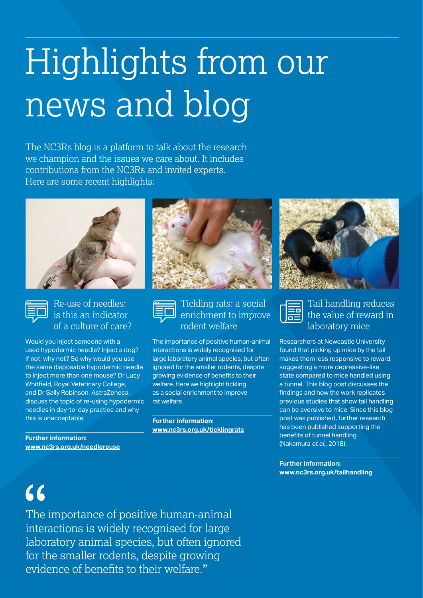# Highlights from our news and blog

The NC3Rs blog is a platform to talk about the research we champion and the issues we care about. It includes contributions from the NC3Rs and invited experts. Here are some recent highlights:





### Re-use of needles: is this an indicator of a culture of care?

Would you inject someone with a used hypodermic needle? Inject a dog? If not, why not? So why would you use the same disposable hypodermic needle to inject more than one mouse? Dr Lucy Whitfield, Royal Veterinary College, and Dr Sally Robinson, AstraZeneca, discuss the topic of re-using hypodermic needles in day-to-day practice and why this is unacceptable.

**Further information: [www.nc3rs.org.uk/needlereuse](http://www.nc3rs.org.uk/needlereuse)**





### Tickling rats: a social enrichment to improve rodent welfare

The importance of positive human-animal interactions is widely recognised for large laboratory animal species, but often ignored for the smaller rodents, despite growing evidence of benefits to their welfare. Here we highlight tickling as a social enrichment to improve rat welfare.

**Further information: [www.nc3rs.org.uk/ticklingrats](http://www.nc3rs.org.uk/ticklingrats)**





Tail handling reduces the value of reward in laboratory mice

Researchers at Newcastle University found that picking up mice by the tail makes them less responsive to reward, suggesting a more depressive-like state compared to mice handled using a tunnel. This blog post discusses the findings and how the work replicates previous studies that show tail handling can be aversive to mice. Since this blog post was published, further research has been published supporting the benefits of tunnel handling (Nakamura *et al.*, 2018).

**Further information: [www.nc3rs.org.uk/tailhandling](http://www.nc3rs.org.uk/tailhandling)**

# $66$

The importance of positive human-animal interactions is widely recognised for large laboratory animal species, but often ignored for the smaller rodents, despite growing evidence of benefits to their welfare."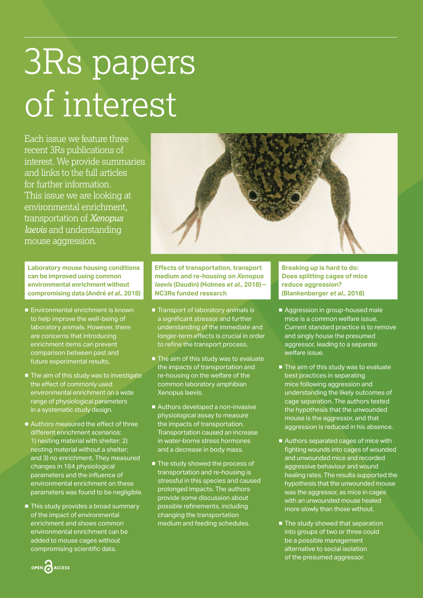# 3Rs papers of interest

Each issue we feature three recent 3Rs publications of interest. We provide summaries and links to the full articles for further information. This issue we are looking at environmental enrichment, transportation of *Xenopus laevis* and understanding mouse aggression.

**Laboratory mouse housing conditions can be improved using common environmental enrichment without compromising data (André** *et al.***, 2018)** 

- Environmental enrichment is known to help improve the well-being of laboratory animals. However, there are concerns that introducing enrichment items can prevent comparison between past and future experimental results.
- The aim of this study was to investigate the effect of commonly used environmental enrichment on a wide range of physiological parameters in a systematic study design.
- Authors measured the effect of three different enrichment scenarios: 1) nesting material with shelter; 2) nesting material without a shelter; and 3) no enrichment. They measured changes in 164 physiological parameters and the influence of environmental enrichment on these parameters was found to be negligible.
- This study provides a broad summary of the impact of environmental enrichment and shows common environmental enrichment can be added to mouse cages without compromising scientific data.



**Effects of transportation, transport medium and re-housing on** *Xenopus laevis* **(Daudin) (Holmes** *et al.***, 2018) – NC3Rs funded research**

- Transport of laboratory animals is a significant stressor and further understanding of the immediate and longer-term effects is crucial in order to refine the transport process.
- The aim of this study was to evaluate the impacts of transportation and re-housing on the welfare of the common laboratory amphibian Xenopus laevis.
- Authors developed a non-invasive physiological assay to measure the impacts of transportation. Transportation caused an increase in water-borne stress hormones and a decrease in body mass.
- The study showed the process of transportation and re-housing is stressful in this species and caused prolonged impacts. The authors provide some discussion about possible refinements, including changing the transportation medium and feeding schedules.

**Breaking up is hard to do: Does splitting cages of mice reduce aggression? (Blankenberger** *et al.***, 2018)** 

- Aggression in group-housed male mice is a common welfare issue. Current standard practice is to remove and singly house the presumed aggressor, leading to a separate welfare issue.
- The aim of this study was to evaluate best practices in separating mice following aggression and understanding the likely outcomes of cage separation. The authors tested the hypothesis that the unwounded mouse is the aggressor, and that aggression is reduced in his absence.
- Authors separated cages of mice with fighting wounds into cages of wounded and unwounded mice and recorded aggressive behaviour and wound healing rates. The results supported the hypothesis that the unwounded mouse was the aggressor, as mice in cages with an unwounded mouse healed more slowly than those without.
- The study showed that separation into groups of two or three could be a possible management alternative to social isolation of the presumed aggressor.

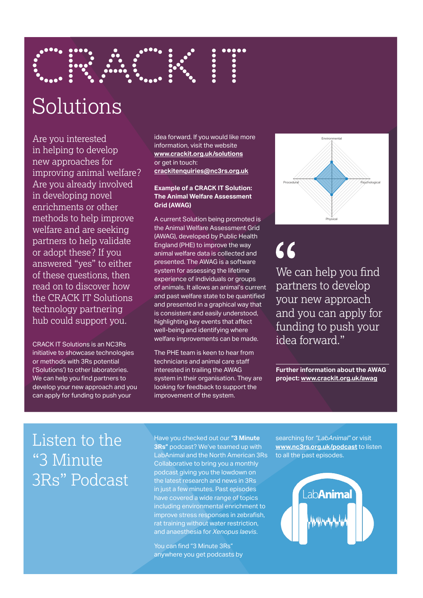

# Solutions

Are you interested in helping to develop new approaches for improving animal welfare? Are you already involved in developing novel enrichments or other methods to help improve welfare and are seeking partners to help validate or adopt these? If you answered "yes" to either of these questions, then read on to discover how the CRACK IT Solutions technology partnering hub could support you.

CRACK IT Solutions is an NC3Rs initiative to showcase technologies or methods with 3Rs potential ('Solutions') to other laboratories. We can help you find partners to develop your new approach and you can apply for funding to push your

idea forward. If you would like more information, visit the website **[www.crackit.org.uk/solutions](http://www.crackit.org.uk/solutions)** or get in touch: **[crackitenquiries@nc3rs.org.uk](http://crackitenquiries@nc3rs.org.uk)**

#### **Example of a CRACK IT Solution: The Animal Welfare Assessment Grid (AWAG)**

A current Solution being promoted is the Animal Welfare Assessment Grid (AWAG), developed by Public Health England (PHE) to improve the way animal welfare data is collected and presented. The AWAG is a software system for assessing the lifetime experience of individuals or groups of animals. It allows an animal's current and past welfare state to be quantified and presented in a graphical way that is consistent and easily understood, highlighting key events that affect well-being and identifying where welfare improvements can be made.

The PHE team is keen to hear from technicians and animal care staff interested in trailing the AWAG system in their organisation. They are looking for feedback to support the improvement of the system.



## $66$

We can help you find partners to develop your new approach and you can apply for funding to push your idea forward."

**Further information about the AWAG project: [www.crackit.org.uk/awag](http://www.crackit.org.uk/awag)**

### Listen to the "3 Minute 3Rs" Podcast

Have you checked out our **"3 Minute 3Rs"** podcast? We've teamed up with LabAnimal and the North American 3Rs Collaborative to bring you a monthly podcast giving you the lowdown on the latest research and news in 3Rs in just a few minutes. Past episodes have covered a wide range of topics including environmental enrichment to improve stress responses in zebrafish, rat training without water restriction, and anaesthesia for *Xenopus laevis*.

You can find "3 Minute 3Rs" anywhere you get podcasts by searching for *"LabAnimal"* or visit **[www.nc3rs.org.uk/podcast](http://www.nc3rs.org.uk/podcast)** to listen to all the past episodes.